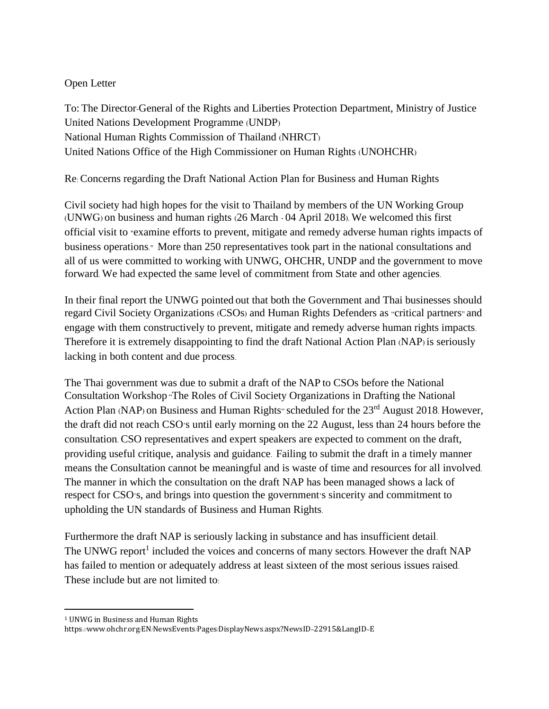## Open Letter

To: The Director-General of the Rights and Liberties Protection Department, Ministry of Justice United Nations Development Programme (UNDP) National Human Rights Commission of Thailand (NHRCT) United Nations Office of the High Commissioner on Human Rights (UNOHCHR)

Re: Concerns regarding the Draft National Action Plan for Business and Human Rights

Civil society had high hopes for the visit to Thailand by members of the UN Working Group (UNWG) on business and human rights (26 March - 04 April 2018). We welcomed this first official visit to "examine efforts to prevent, mitigate and remedy adverse human rights impacts of business operations." More than 250 representatives took part in the national consultations and all of us were committed to working with UNWG, OHCHR, UNDP and the government to move forward. We had expected the same level of commitment from State and other agencies.

In their final report the UNWG pointed out that both the Government and Thai businesses should regard Civil Society Organizations (CSOs) and Human Rights Defenders as "critical partners" and engage with them constructively to prevent, mitigate and remedy adverse human rights impacts. Therefore it is extremely disappointing to find the draft National Action Plan (NAP) is seriously lacking in both content and due process.

The Thai government was due to submit a draft of the NAP to CSOs before the National Consultation Workshop "The Roles of Civil Society Organizations in Drafting the National Action Plan (NAP) on Business and Human Rights" scheduled for the 23<sup>rd</sup> August 2018. However, the draft did not reach CSO's until early morning on the 22 August, less than 24 hours before the consultation. CSO representatives and expert speakers are expected to comment on the draft, providing useful critique, analysis and guidance. Failing to submit the draft in a timely manner means the Consultation cannot be meaningful and is waste of time and resources for all involved. The manner in which the consultation on the draft NAP has been managed shows a lack of respect for CSO's, and brings into question the government's sincerity and commitment to upholding the UN standards of Business and Human Rights.

Furthermore the draft NAP is seriously lacking in substance and has insufficient detail. The UNWG report<sup>1</sup> included the voices and concerns of many sectors. However the draft NAP has failed to mention or adequately address at least sixteen of the most serious issues raised. These include but are not limited to:

<sup>1</sup> UNWG in Business and Human Rights

https://www.ohchr.org/EN/NewsEvents/Pages/DisplayNews.aspx?NewsID=22915&LangID=E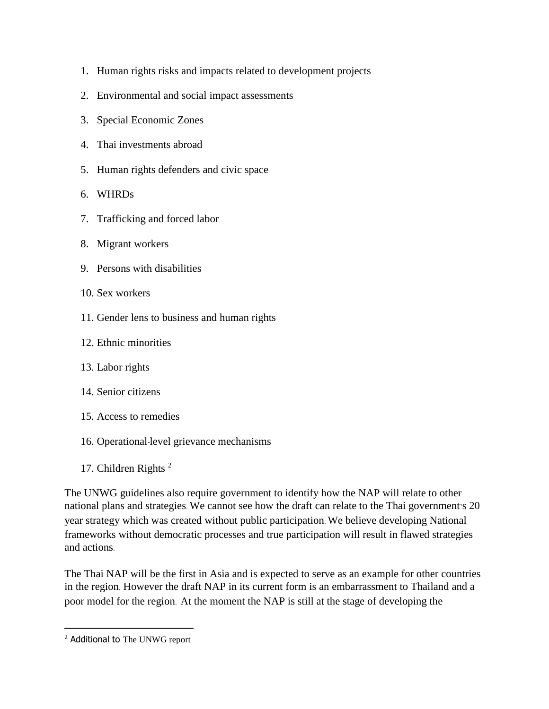- 1. Human rights risks and impacts related to development projects
- 2. Environmental and social impact assessments
- 3. Special Economic Zones
- 4. Thai investments abroad
- 5. Human rights defenders and civic space
- 6. WHRDs
- 7. Trafficking and forced labor
- 8. Migrant workers
- 9. Persons with disabilities
- 10. Sex workers
- 11. Gender lens to business and human rights
- 12. Ethnic minorities
- 13. Labor rights
- 14. Senior citizens
- 15. Access to remedies
- 16. Operational-level grievance mechanisms
- 17. Children Rights <sup>2</sup>

The UNWG guidelines also require government to identify how the NAP will relate to other national plans and strategies. We cannot see how the draft can relate to the Thai government's 20 year strategy which was created without public participation. We believe developing National frameworks without democratic processes and true participation will result in flawed strategies and actions.

The Thai NAP will be the first in Asia and is expected to serve as an example for other countries in the region. However the draft NAP in its current form is an embarrassment to Thailand and a poor model for the region. At the moment the NAP is still at the stage of developing the

<sup>&</sup>lt;sup>2</sup> Additional to The UNWG report